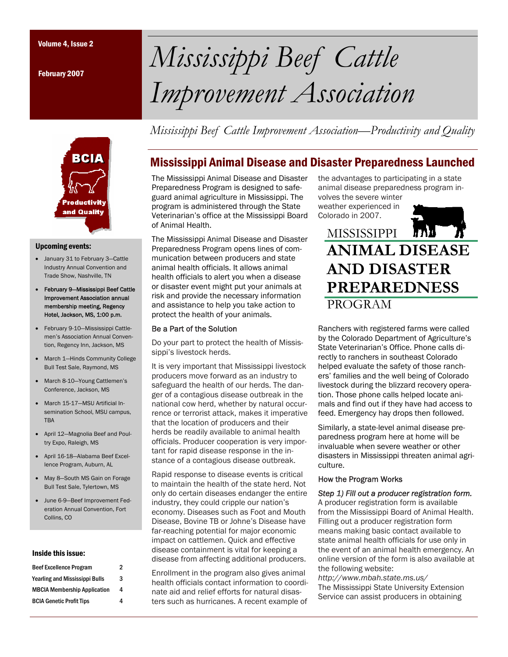February 2007



#### Upcoming events:

- January 31 to February 3—Cattle Industry Annual Convention and Trade Show, Nashville, TN
- February 9—Mississippi Beef Cattle Improvement Association annual membership meeting, Regency Hotel, Jackson, MS, 1:00 p.m.
- February 9-10—Mississippi Cattlemen's Association Annual Convention, Regency Inn, Jackson, MS
- March 1—Hinds Community College Bull Test Sale, Raymond, MS
- March 8-10—Young Cattlemen's Conference, Jackson, MS
- March 15-17—MSU Artificial Insemination School, MSU campus, **TRA**
- April 12—Magnolia Beef and Poultry Expo, Raleigh, MS
- April 16-18—Alabama Beef Excellence Program, Auburn, AL
- May 8—South MS Gain on Forage Bull Test Sale, Tylertown, MS
- June 6-9—Beef Improvement Federation Annual Convention, Fort Collins, CO

#### Inside this issue:

| <b>Beef Excellence Program</b>        | 2 |
|---------------------------------------|---|
| <b>Yearling and Mississippi Bulls</b> | 3 |
| <b>MBCIA Membership Application</b>   | 4 |
| <b>BCIA Genetic Profit Tips</b>       | 4 |
|                                       |   |

Volume 4, Issue 2 *Mississippi Beef Cattle Improvement Association* 

*Mississippi Beef Cattle Improvement Association—Productivity and Quality* 

# Mississippi Animal Disease and Disaster Preparedness Launched

The Mississippi Animal Disease and Disaster Preparedness Program is designed to safeguard animal agriculture in Mississippi. The program is administered through the State Veterinarian's office at the Mississippi Board of Animal Health.

The Mississippi Animal Disease and Disaster Preparedness Program opens lines of communication between producers and state animal health officials. It allows animal health officials to alert you when a disease or disaster event might put your animals at risk and provide the necessary information and assistance to help you take action to protect the health of your animals.

### Be a Part of the Solution

Do your part to protect the health of Mississippi's livestock herds.

It is very important that Mississippi livestock producers move forward as an industry to safeguard the health of our herds. The danger of a contagious disease outbreak in the national cow herd, whether by natural occurrence or terrorist attack, makes it imperative that the location of producers and their herds be readily available to animal health officials. Producer cooperation is very important for rapid disease response in the instance of a contagious disease outbreak.

Rapid response to disease events is critical to maintain the health of the state herd. Not only do certain diseases endanger the entire industry, they could cripple our nation's economy. Diseases such as Foot and Mouth Disease, Bovine TB or Johne's Disease have far-reaching potential for major economic impact on cattlemen. Quick and effective disease containment is vital for keeping a disease from affecting additional producers.

Enrollment in the program also gives animal health officials contact information to coordinate aid and relief efforts for natural disasters such as hurricanes. A recent example of

the advantages to participating in a state animal disease preparedness program involves the severe winter

weather experienced in Colorado in 2007.



# **MISSISSIPPI ANIMAL DISEASE AND DISASTER PREPAREDNESS** PROGRAM

Ranchers with registered farms were called by the Colorado Department of Agriculture's State Veterinarian's Office. Phone calls directly to ranchers in southeast Colorado helped evaluate the safety of those ranchers' families and the well being of Colorado livestock during the blizzard recovery operation. Those phone calls helped locate animals and find out if they have had access to feed. Emergency hay drops then followed.

Similarly, a state-level animal disease preparedness program here at home will be invaluable when severe weather or other disasters in Mississippi threaten animal agriculture.

#### How the Program Works

### *Step 1) Fill out a producer registration form.*

A producer registration form is available from the Mississippi Board of Animal Health. Filling out a producer registration form means making basic contact available to state animal health officials for use only in the event of an animal health emergency. An online version of the form is also available at the following website:

*http://www.mbah.state.ms.us/*  The Mississippi State University Extension Service can assist producers in obtaining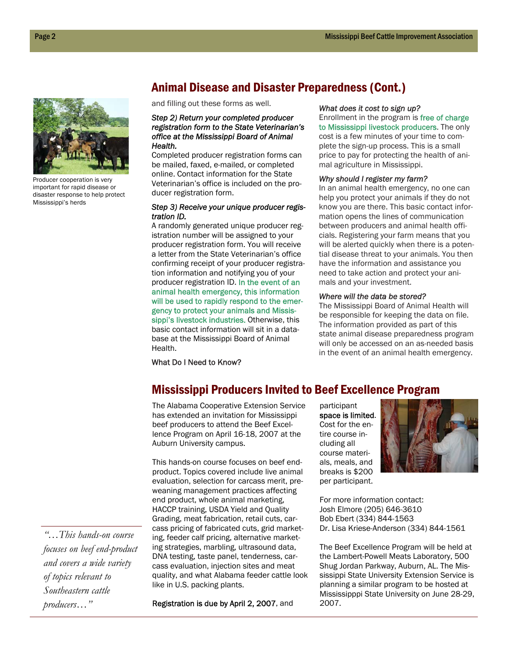

Producer cooperation is very important for rapid disease or disaster response to help protect Mississippi's herds

# Animal Disease and Disaster Preparedness (Cont.)

and filling out these forms as well.

#### *Step 2) Return your completed producer registration form to the State Veterinarian's office at the Mississippi Board of Animal Health.*

Completed producer registration forms can be mailed, faxed, e-mailed, or completed online. Contact information for the State Veterinarian's office is included on the producer registration form.

#### *Step 3) Receive your unique producer registration ID.*

A randomly generated unique producer registration number will be assigned to your producer registration form. You will receive a letter from the State Veterinarian's office confirming receipt of your producer registration information and notifying you of your producer registration ID. In the event of an animal health emergency, this information will be used to rapidly respond to the emergency to protect your animals and Mississippi's livestock industries. Otherwise, this basic contact information will sit in a database at the Mississippi Board of Animal Health.

#### *What does it cost to sign up?*

Enrollment in the program is free of charge to Mississippi livestock producers. The only cost is a few minutes of your time to complete the sign-up process. This is a small price to pay for protecting the health of animal agriculture in Mississippi.

#### *Why should I register my farm?*

In an animal health emergency, no one can help you protect your animals if they do not know you are there. This basic contact information opens the lines of communication between producers and animal health officials. Registering your farm means that you will be alerted quickly when there is a potential disease threat to your animals. You then have the information and assistance you need to take action and protect your animals and your investment.

#### *Where will the data be stored?*

The Mississippi Board of Animal Health will be responsible for keeping the data on file. The information provided as part of this state animal disease preparedness program will only be accessed on an as-needed basis in the event of an animal health emergency.

What Do I Need to Know?

# Mississippi Producers Invited to Beef Excellence Program

The Alabama Cooperative Extension Service has extended an invitation for Mississippi beef producers to attend the Beef Excellence Program on April 16-18, 2007 at the Auburn University campus.

This hands-on course focuses on beef endproduct. Topics covered include live animal evaluation, selection for carcass merit, preweaning management practices affecting end product, whole animal marketing, HACCP training, USDA Yield and Quality Grading, meat fabrication, retail cuts, carcass pricing of fabricated cuts, grid marketing, feeder calf pricing, alternative marketing strategies, marbling, ultrasound data, DNA testing, taste panel, tenderness, carcass evaluation, injection sites and meat quality, and what Alabama feeder cattle look like in U.S. packing plants.

Registration is due by April 2, 2007, and

participant space is limited. Cost for the entire course including all course materials, meals, and breaks is \$200 per participant.



For more information contact: Josh Elmore (205) 646-3610 Bob Ebert (334) 844-1563 Dr. Lisa Kriese-Anderson (334) 844-1561

The Beef Excellence Program will be held at the Lambert-Powell Meats Laboratory, 500 Shug Jordan Parkway, Auburn, AL. The Mississippi State University Extension Service is planning a similar program to be hosted at Mississipppi State University on June 28-29, 2007.

*"…This hands-on course focuses on beef end-product and covers a wide variety of topics relevant to Southeastern cattle producers…"*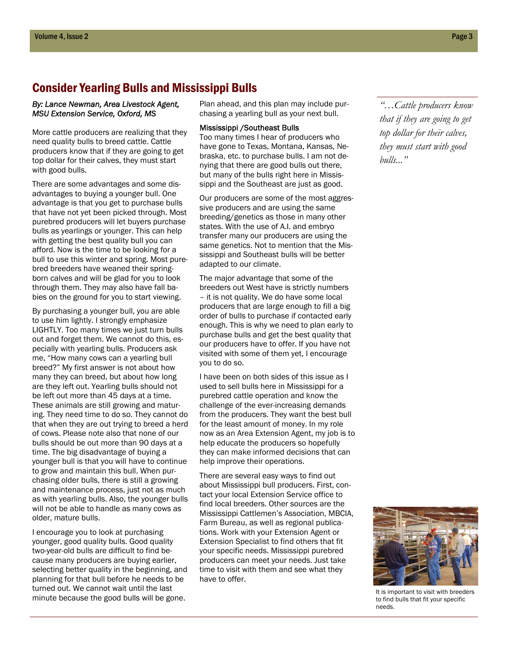# Consider Yearling Bulls and Mississippi Bulls

#### *By: Lance Newman, Area Livestock Agent, MSU Extension Service, Oxford, MS*

More cattle producers are realizing that they need quality bulls to breed cattle. Cattle producers know that if they are going to get top dollar for their calves, they must start with good bulls.

There are some advantages and some disadvantages to buying a younger bull. One advantage is that you get to purchase bulls that have not yet been picked through. Most purebred producers will let buyers purchase bulls as yearlings or younger. This can help with getting the best quality bull you can afford. Now is the time to be looking for a bull to use this winter and spring. Most purebred breeders have weaned their springborn calves and will be glad for you to look through them. They may also have fall babies on the ground for you to start viewing.

By purchasing a younger bull, you are able to use him lightly. I strongly emphasize LIGHTLY. Too many times we just turn bulls out and forget them. We cannot do this, especially with yearling bulls. Producers ask me, "How many cows can a yearling bull breed?" My first answer is not about how many they can breed, but about how long are they left out. Yearling bulls should not be left out more than 45 days at a time. These animals are still growing and maturing. They need time to do so. They cannot do that when they are out trying to breed a herd of cows. Please note also that none of our bulls should be out more than 90 days at a time. The big disadvantage of buying a younger bull is that you will have to continue to grow and maintain this bull. When purchasing older bulls, there is still a growing and maintenance process, just not as much as with yearling bulls. Also, the younger bulls will not be able to handle as many cows as older, mature bulls.

I encourage you to look at purchasing younger, good quality bulls. Good quality two-year-old bulls are difficult to find because many producers are buying earlier, selecting better quality in the beginning, and planning for that bull before he needs to be turned out. We cannot wait until the last minute because the good bulls will be gone.

Plan ahead, and this plan may include purchasing a yearling bull as your next bull.

#### Mississippi /Southeast Bulls

Too many times I hear of producers who have gone to Texas, Montana, Kansas, Nebraska, etc. to purchase bulls. I am not denying that there are good bulls out there, but many of the bulls right here in Mississippi and the Southeast are just as good.

Our producers are some of the most aggressive producers and are using the same breeding/genetics as those in many other states. With the use of A.I. and embryo transfer many our producers are using the same genetics. Not to mention that the Mississippi and Southeast bulls will be better adapted to our climate.

The major advantage that some of the breeders out West have is strictly numbers – it is not quality. We do have some local producers that are large enough to fill a big order of bulls to purchase if contacted early enough. This is why we need to plan early to purchase bulls and get the best quality that our producers have to offer. If you have not visited with some of them yet, I encourage you to do so.

I have been on both sides of this issue as I used to sell bulls here in Mississippi for a purebred cattle operation and know the challenge of the ever-increasing demands from the producers. They want the best bull for the least amount of money. In my role now as an Area Extension Agent, my job is to help educate the producers so hopefully they can make informed decisions that can help improve their operations.

There are several easy ways to find out about Mississippi bull producers. First, contact your local Extension Service office to find local breeders. Other sources are the Mississippi Cattlemen's Association, MBCIA, Farm Bureau, as well as regional publications. Work with your Extension Agent or Extension Specialist to find others that fit your specific needs. Mississippi purebred producers can meet your needs. Just take time to visit with them and see what they have to offer.

*"…Cattle producers know that if they are going to get top dollar for their calves, they must start with good bulls..."* 



It is important to visit with breeders to find bulls that fit your specific needs.